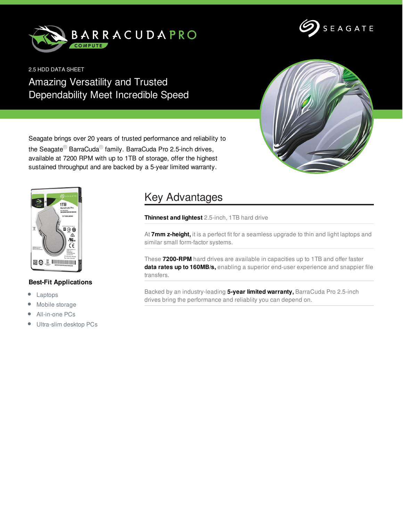



2.5 HDD DATA SHEET

Amazing Versatility and Trusted Dependability Meet Incredible Speed



Seagate brings over 20 years of trusted performance and reliability to the Seagate<sup>®</sup> BarraCuda<sup>®</sup> family. BarraCuda Pro 2.5-inch drives, available at 7200 RPM with up to 1TB of storage, offer the highest sustained throughput and are backed by a 5-year limited warranty.



## **Best-Fit Applications**

- $\bullet$ Laptops
- Mobile storage  $\bullet$
- All-in-one PCs  $\bullet$
- Ultra-slim desktop PCs  $\bullet$

## Key Advantages

**Thinnest and lightest** 2.5-inch, 1TB hard drive

At **7mm z-height,** it is a perfect fit for a seamless upgrade to thin and light laptops and similar small form-factor systems.

These **7200-RPM** hard drives are available in capacities up to 1TB and offer faster **data rates up to 160MB/s,** enabling a superior end-user experience and snappier file transfers.

Backed by an industry-leading **5-year limited warranty,** BarraCuda Pro 2.5-inch drives bring the performance and reliablity you can depend on.